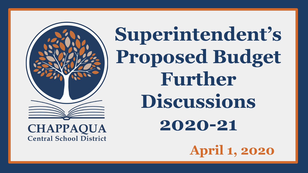

**Superintendent's Proposed Budget Further Discussions 2020-21**

**April 1, 2020**

**CHAPPAQUA Central School District**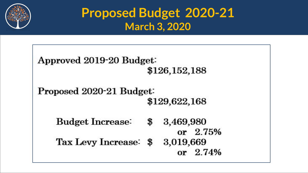

## **Proposed Budget 2020-21 March 3, 2020**

```
Approved 2019-20 Budget:
                      $126,152,188
Proposed 2020-21 Budget:
                      $129,622,168
   Budget Increase: $
                         3,469,980
                            or 2.75%
   Tax Levy Increase: $ 3,019,669
                            or 2.74%
```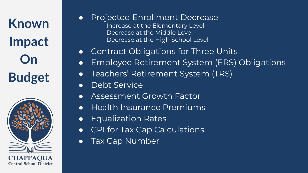**Known Impact On Budget**



#### ● Projected Enrollment Decrease

- Increase at the Elementary Level
- Decrease at the Middle Level
- Decrease at the High School Level
- Contract Obligations for Three Units
- Employee Retirement System (ERS) Obligations
- Teachers' Retirement System (TRS)
- Debt Service
- **Assessment Growth Factor**
- Health Insurance Premiums
- Equalization Rates
- CPI for Tax Cap Calculations
- Tax Cap Number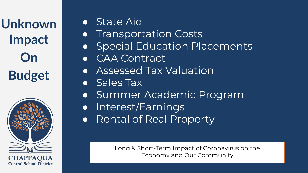**Unknown Impact On Budget**



● State Aid

**• Transportation Costs** ● Special Education Placements ● CAA Contract ● Assessed Tax Valuation ● Sales Tax ● Summer Academic Program ● Interest/Earnings ● Rental of Real Property

> Long & Short-Term Impact of Coronavirus on the Economy and Our Community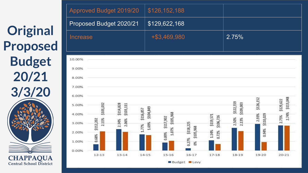**Original Proposed Budget 20/21 3/3/20 CHAPPAQUA** 

**Central School District** 

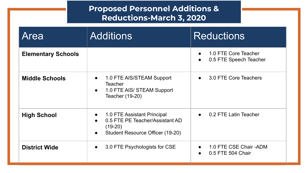|                           | <b>Proposed Personnel Additions &amp;</b><br><b>Reductions-March 3, 2020</b>                                                 |                                                             |
|---------------------------|------------------------------------------------------------------------------------------------------------------------------|-------------------------------------------------------------|
| Area                      | <b>Additions</b>                                                                                                             | <b>Reductions</b>                                           |
| <b>Elementary Schools</b> |                                                                                                                              | 1.0 FTE Core Teacher<br>0.5 FTE Speech Teacher<br>$\bullet$ |
| <b>Middle Schools</b>     | 1.0 FTE AIS/STEAM Support<br>$\bullet$<br>Teacher<br>1.0 FTE AIS/ STEAM Support<br>Teacher (19-20)                           | 3.0 FTE Core Teachers<br>$\bullet$                          |
| <b>High School</b>        | 1.0 FTE Assistant Principal<br>$\bullet$<br>0.5 FTE PE Teacher/Assistant AD<br>$(19-20)$<br>Student Resource Officer (19-20) | 0.2 FTE Latin Teacher<br>$\bullet$                          |
| <b>District Wide</b>      | 3.0 FTE Psychologists for CSE<br>$\bullet$                                                                                   | 1.0 FTE CSE Chair - ADM<br>0.5 FTE 504 Chair                |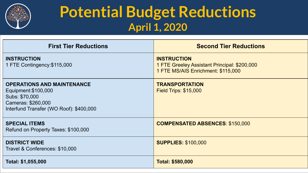

## **Potential Budget Reductions April 1, 2020**

| <b>First Tier Reductions</b>                                                                                                                 | <b>Second Tier Reductions</b>                                                                            |
|----------------------------------------------------------------------------------------------------------------------------------------------|----------------------------------------------------------------------------------------------------------|
| <b>INSTRUCTION</b><br>1 FTE Contingency: \$115,000                                                                                           | <b>INSTRUCTION</b><br>1 FTE Greeley Assistant Principal: \$200,000<br>1 FTE MS/AIS Enrichment: \$115,000 |
| <b>OPERATIONS AND MAINTENANCE</b><br>Equipment: \$100,000<br>Subs: \$70,000<br>Cameras: \$260,000<br>Interfund Transfer (WO Roof): \$400,000 | <b>TRANSPORTATION</b><br><b>Field Trips: \$15,000</b>                                                    |
| <b>SPECIAL ITEMS</b><br>Refund on Property Taxes: \$100,000                                                                                  | <b>COMPENSATED ABSENCES: \$150,000</b>                                                                   |
| <b>DISTRICT WIDE</b><br>Travel & Conferences: \$10,000                                                                                       | <b>SUPPLIES: \$100,000</b>                                                                               |
| Total: \$1,055,000                                                                                                                           | <b>Total: \$580,000</b>                                                                                  |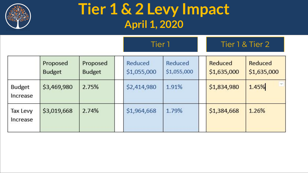

## **Tier 1 & 2 Levy Impact April 1, 2020**

|                           |                           |                           | Tier 1                 |                        |  | Tier 1 & Tier 2        |                        |
|---------------------------|---------------------------|---------------------------|------------------------|------------------------|--|------------------------|------------------------|
|                           | Proposed<br><b>Budget</b> | Proposed<br><b>Budget</b> | Reduced<br>\$1,055,000 | Reduced<br>\$1,055,000 |  | Reduced<br>\$1,635,000 | Reduced<br>\$1,635,000 |
| <b>Budget</b><br>Increase | \$3,469,980               | 2.75%                     | \$2,414,980            | 1.91%                  |  | \$1,834,980            | $\sim$<br>1.45%        |
| Tax Levy<br>Increase      | \$3,019,668               | 2.74%                     | \$1,964,668            | 1.79%                  |  | \$1,384,668            | 1.26%                  |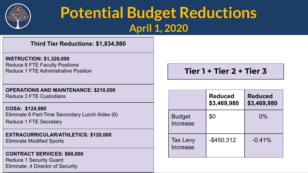

## **Potential Budget Reductions April 1, 2020**

#### **Third Tier Reductions: \$1,834,980**

#### **INSTRUCTION: \$1,320,000** Reduce 8 FTE Faculty Positions Reduce 1 FTE Administrative Position

#### **OPERATIONS AND MAINTENANCE: \$210,000** Reduce 3 FTE Custodians

**COSA: \$124,980** Eliminate 6 Part-Time Secondary Lunch Aides (6) Reduce 1 FTE Secretary

#### **EXTRACURRICULAR/ATHLETICS: \$120,000**

Eliminate Modified Sports

#### **CONTRACT SERVICES: \$60,000**

Reduce 1 Security Guard Eliminate .4 Director of Security

#### **Tier 1 + Tier 2 + Tier 3**

|                             | <b>Reduced</b><br>\$3,469,980 | <b>Reduced</b><br>\$3,469,980 |
|-----------------------------|-------------------------------|-------------------------------|
| <b>Budget</b><br>Increase   | \$0                           | $0\%$                         |
| <b>Tax Levy</b><br>Increase | $-$ \$450,312                 | $-0.41%$                      |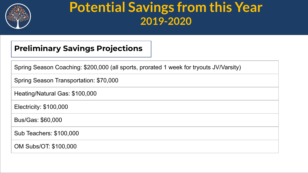

### **Potential Savings from this Year 2019-2020**

#### **Preliminary Savings Projections**

| Spring Season Coaching: \$200,000 (all sports, prorated 1 week for tryouts JV/Varsity) |
|----------------------------------------------------------------------------------------|
| Spring Season Transportation: \$70,000                                                 |
| Heating/Natural Gas: \$100,000                                                         |
| Electricity: \$100,000                                                                 |

Bus/Gas: \$60,000

Sub Teachers: \$100,000

OM Subs/OT: \$100,000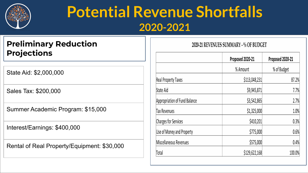

## **Potential Revenue Shortfalls 2020-2021**

#### **Preliminary Reduction Projections**

State Aid: \$2,000,000

Sales Tax: \$200,000

Summer Academic Program: \$15,000

Interest/Earnings: \$400,000

Rental of Real Property/Equipment: \$30,000

#### 2020-21 REVENUES SUMMARY - % OF BUDGET

|                               | Proposed 2020-21 | Proposed 2020-21 |
|-------------------------------|------------------|------------------|
|                               | % Amount         | % of Budget      |
| <b>Real Property Taxes</b>    | \$113,048,231    | 87.2%            |
| State Aid                     | \$9,945,871      | 7.7%             |
| Appropriation of Fund Balance | \$3,542,865      | 2.7%             |
| Tax Revenues                  | \$1,325,000      | 1.0%             |
| <b>Charges for Services</b>   | \$410,201        | 0.3%             |
| Use of Money and Property     | \$775,000        | 0.6%             |
| Miscellaneous Revenues        | \$575,000        | 0.4%             |
| Total                         | \$129,622,168    | 100.0%           |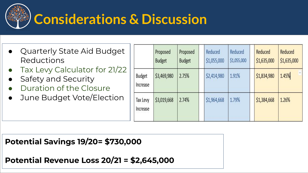

## **Considerations & Discussion**

- Quarterly State Aid Budget Reductions
- Tax Levy Calculator for 21/22
- Safety and Security
- Duration of the Closure
- **●** June Budget Vote/Election

|                      | Proposed<br><b>Budget</b> | Proposed<br><b>Budget</b> | Reduced<br>\$1,055,000 | Reduced<br>\$1,055,000 | Reduced<br>\$1,635,000 | Reduced<br>\$1,635,000 |
|----------------------|---------------------------|---------------------------|------------------------|------------------------|------------------------|------------------------|
| Budget<br>Increase   | \$3,469,980               | 2.75%                     | \$2,414,980            | 1.91%                  | \$1,834,980            | 1.45%                  |
| Tax Levy<br>Increase | \$3,019,668               | 2.74%                     | \$1,964,668            | 1.79%                  | \$1,384,668            | 1.26%                  |

**Potential Savings 19/20= \$730,000**

**Potential Revenue Loss 20/21 = \$2,645,000**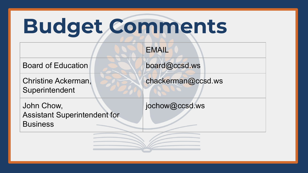## **Budget Comments**

|                                                                      | <b>EMAIL</b>       |
|----------------------------------------------------------------------|--------------------|
| <b>Board of Education</b>                                            | board@ccsd.ws      |
| <b>Christine Ackerman,</b><br>Superintendent                         | chackerman@ccsd.ws |
| John Chow,<br><b>Assistant Superintendent for</b><br><b>Business</b> | jochow@ccsd.ws     |
|                                                                      |                    |